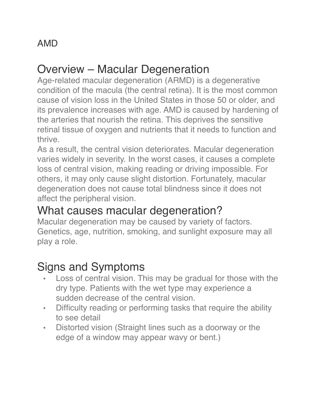#### Overview – Macular Degeneration

Age-related macular degeneration (ARMD) is a degenerative condition of the macula (the central retina). It is the most common cause of vision loss in the United States in those 50 or older, and its prevalence increases with age. AMD is caused by hardening of the arteries that nourish the retina. This deprives the sensitive retinal tissue of oxygen and nutrients that it needs to function and thrive.

As a result, the central vision deteriorates. Macular degeneration varies widely in severity. In the worst cases, it causes a complete loss of central vision, making reading or driving impossible. For others, it may only cause slight distortion. Fortunately, macular degeneration does not cause total blindness since it does not affect the peripheral vision.

### What causes macular degeneration?

Macular degeneration may be caused by variety of factors. Genetics, age, nutrition, smoking, and sunlight exposure may all play a role.

# Signs and Symptoms

- Loss of central vision. This may be gradual for those with the dry type. Patients with the wet type may experience a sudden decrease of the central vision.
- Difficulty reading or performing tasks that require the ability to see detail
- Distorted vision (Straight lines such as a doorway or the edge of a window may appear wavy or bent.)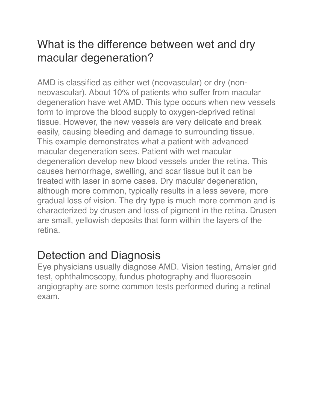### What is the difference between wet and dry macular degeneration?

AMD is classified as either wet (neovascular) or dry (nonneovascular). About 10% of patients who suffer from macular degeneration have wet AMD. This type occurs when new vessels form to improve the blood supply to oxygen-deprived retinal tissue. However, the new vessels are very delicate and break easily, causing bleeding and damage to surrounding tissue. This example demonstrates what a patient with advanced macular degeneration sees. Patient with wet macular degeneration develop new blood vessels under the retina. This causes hemorrhage, swelling, and scar tissue but it can be treated with laser in some cases. Dry macular degeneration, although more common, typically results in a less severe, more gradual loss of vision. The dry type is much more common and is characterized by drusen and loss of pigment in the retina. Drusen are small, yellowish deposits that form within the layers of the retina.

### Detection and Diagnosis

Eye physicians usually diagnose AMD. Vision testing, Amsler grid test, ophthalmoscopy, fundus photography and fluorescein angiography are some common tests performed during a retinal exam.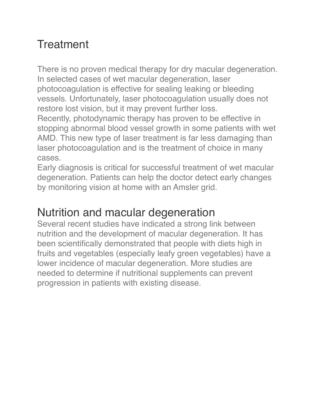## **Treatment**

There is no proven medical therapy for dry macular degeneration. In selected cases of wet macular degeneration, laser photocoagulation is effective for sealing leaking or bleeding vessels. Unfortunately, laser photocoagulation usually does not restore lost vision, but it may prevent further loss.

Recently, photodynamic therapy has proven to be effective in stopping abnormal blood vessel growth in some patients with wet AMD. This new type of laser treatment is far less damaging than laser photocoagulation and is the treatment of choice in many cases.

Early diagnosis is critical for successful treatment of wet macular degeneration. Patients can help the doctor detect early changes by monitoring vision at home with an Amsler grid.

#### Nutrition and macular degeneration

Several recent studies have indicated a strong link between nutrition and the development of macular degeneration. It has been scientifically demonstrated that people with diets high in fruits and vegetables (especially leafy green vegetables) have a lower incidence of macular degeneration. More studies are needed to determine if nutritional supplements can prevent progression in patients with existing disease.